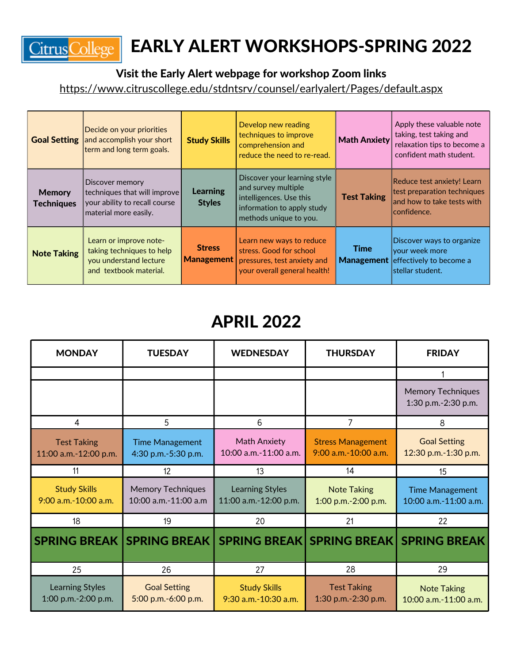

## EARLY ALERT WORKSHOPS-SPRING 2022

Visit the Early Alert webpage for workshop Zoom links

<https://www.citruscollege.edu/stdntsrv/counsel/earlyalert/Pages/default.aspx>

|                                    | Decide on your priorities<br><b>Goal Setting</b> and accomplish your short<br>term and long term goals.   | <b>Study Skills</b>                         | Develop new reading<br>techniques to improve<br>comprehension and<br>reduce the need to re-read.                                       | <b>Math Anxiety</b> | Apply these valuable note<br>taking, test taking and<br>relaxation tips to become a<br>confident math student. |
|------------------------------------|-----------------------------------------------------------------------------------------------------------|---------------------------------------------|----------------------------------------------------------------------------------------------------------------------------------------|---------------------|----------------------------------------------------------------------------------------------------------------|
| <b>Memory</b><br><b>Techniques</b> | Discover memory<br>techniques that will improve<br>your ability to recall course<br>material more easily. | <b>Learning</b><br><b>Styles</b>            | Discover your learning style<br>and survey multiple<br>intelligences. Use this<br>information to apply study<br>methods unique to you. | <b>Test Taking</b>  | Reduce test anxiety! Learn<br>test preparation techniques<br>and how to take tests with<br> confidence.        |
| <b>Note Taking</b>                 | Learn or improve note-<br>taking techniques to help<br>you understand lecture<br>and textbook material.   | <b>Stress</b><br>$\vert$ Management $\vert$ | Learn new ways to reduce<br>stress. Good for school<br>pressures, test anxiety and<br>your overall general health!                     | Time                | Discover ways to organize<br>your week more<br>Management effectively to become a<br>stellar student.          |

## APRIL 2022

| <b>MONDAY</b>                                            | <b>TUESDAY</b>                                   | <b>WEDNESDAY</b>                                | <b>THURSDAY</b>                                       | <b>FRIDAY</b>                                   |
|----------------------------------------------------------|--------------------------------------------------|-------------------------------------------------|-------------------------------------------------------|-------------------------------------------------|
|                                                          |                                                  |                                                 |                                                       |                                                 |
|                                                          |                                                  |                                                 |                                                       | <b>Memory Techniques</b><br>1:30 p.m.-2:30 p.m. |
| 4                                                        | 5                                                | 6                                               | 7                                                     |                                                 |
| <b>Test Taking</b><br>11:00 a.m.-12:00 p.m.              | <b>Time Management</b><br>4:30 p.m.-5:30 p.m.    | <b>Math Anxiety</b><br>10:00 a.m.-11:00 a.m.    | <b>Stress Management</b><br>$9:00$ a.m. $-10:00$ a.m. | <b>Goal Setting</b><br>12:30 p.m.-1:30 p.m.     |
| 11                                                       | 12                                               | 13                                              | 14                                                    | 15                                              |
| <b>Study Skills</b><br>9:00 a.m.-10:00 a.m.              | <b>Memory Techniques</b><br>10:00 a.m.-11:00 a.m | <b>Learning Styles</b><br>11:00 a.m.-12:00 p.m. | <b>Note Taking</b><br>1:00 p.m.-2:00 p.m.             | <b>Time Management</b><br>10:00 a.m.-11:00 a.m. |
| 18                                                       | 19                                               | 20                                              | 21                                                    | 22                                              |
| SPRING BREAK  SPRING BREAK   SPRING BREAK   SPRING BREAK |                                                  |                                                 |                                                       | <b>SPRING BREAK</b>                             |
| 25                                                       | 26                                               | 27                                              | 28                                                    | 29                                              |
| <b>Learning Styles</b><br>1:00 p.m.-2:00 p.m.            | <b>Goal Setting</b><br>5:00 p.m.-6:00 p.m.       | <b>Study Skills</b><br>9:30 a.m.-10:30 a.m.     | <b>Test Taking</b><br>1:30 p.m.-2:30 p.m.             | <b>Note Taking</b><br>10:00 a.m.-11:00 a.m.     |